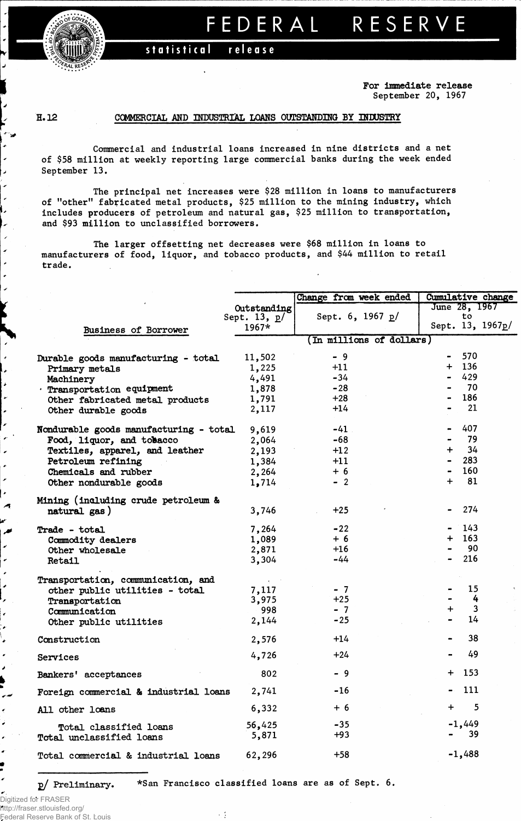

## FEDERAL RESERVE

#### statistical release

For Immediate release September 20, 1967

### H. 12

J. ,

i.

 $\overline{ }$ 

 $\overline{\phantom{a}}$ 

 $\bullet$ 

### COMMERCIAL AND INDUSTRIAL LOANS OUTSTANDING BY INDUSTRY

Commercial and industrial loans increased in nine districts and a net of \$58 million at weekly reporting large commercial banks during the week ended September 13.

The principal net increases were \$28 million in loans to manufacturers of "other" fabricated metal products, \$25 million to the mining industry, which includes producers of petroleum and natural gas, \$25 million to transportation, and \$93 million to unclassified borrowers.

The larger offsetting net decreases were \$68 million in loans to manufacturers of food, liquor, and tobacco products, and \$44 million to retail trade.

|                                        |                | Change from week ended   | <b>Cumulative change</b> |  |  |  |  |  |  |  |
|----------------------------------------|----------------|--------------------------|--------------------------|--|--|--|--|--|--|--|
|                                        | Outstanding    |                          | June 28, 1967            |  |  |  |  |  |  |  |
|                                        | Sept. 13, $p/$ | Sept. 6, 1967 p/         | to                       |  |  |  |  |  |  |  |
| Business of Borrower                   | $1967*$        |                          | Sept. 13, 1967p/         |  |  |  |  |  |  |  |
|                                        |                | (In millions of dollars) |                          |  |  |  |  |  |  |  |
|                                        | 11,502         | $-9$                     | 570                      |  |  |  |  |  |  |  |
| Durable goods manufacturing - total    |                | $+11$                    | $+ 136$                  |  |  |  |  |  |  |  |
| Primary metals                         | 1,225          | $-34$                    | 429                      |  |  |  |  |  |  |  |
| Machinery                              | 4,491          |                          | - 70                     |  |  |  |  |  |  |  |
| . Transportation equipment             | 1,878          | $-28$                    | 186                      |  |  |  |  |  |  |  |
| Other fabricated metal products        | 1,791          | $+28$                    |                          |  |  |  |  |  |  |  |
| Other durable goods                    | 2,117          | $+14$                    | 21                       |  |  |  |  |  |  |  |
| Nondurable goods manufacturing - total | 9,619          | $-41$                    | 407                      |  |  |  |  |  |  |  |
| Food, liquor, and tobacco              | 2,064          | -68                      | 79                       |  |  |  |  |  |  |  |
| Textiles, apparel, and leather         | 2,193          | $+12$                    | 34<br>$\ddot{}$          |  |  |  |  |  |  |  |
| Petroleum refining                     | 1,384          | $+11$                    | 283                      |  |  |  |  |  |  |  |
| Chemicals and rubber                   | 2,264          | $+6$                     | 160                      |  |  |  |  |  |  |  |
| Other nondurable goods                 | 1,714          | $-2$                     | 81<br>$\ddot{}$          |  |  |  |  |  |  |  |
|                                        |                |                          |                          |  |  |  |  |  |  |  |
| Mining (including crude petroleum &    |                |                          |                          |  |  |  |  |  |  |  |
| natural gas)                           | 3,746          | $+25$                    | 274                      |  |  |  |  |  |  |  |
| Trade - total                          | 7,264          | $-22$                    | 143                      |  |  |  |  |  |  |  |
| Commodity dealers                      | 1,089          | $+6$                     | 163<br>$+$               |  |  |  |  |  |  |  |
| Other wholesale                        | 2,871          | $+16$                    | 90                       |  |  |  |  |  |  |  |
| Retail                                 | 3,304          | -44                      | 216                      |  |  |  |  |  |  |  |
|                                        |                |                          |                          |  |  |  |  |  |  |  |
| Transportation, communication, and     |                |                          |                          |  |  |  |  |  |  |  |
| other public utilities - total         | 7,117          | $-7$                     | 15                       |  |  |  |  |  |  |  |
| Transportation                         | 3,975          | $+25$                    | 4                        |  |  |  |  |  |  |  |
| Communication                          | 998            | $-7$                     | 3<br>$\ddot{}$           |  |  |  |  |  |  |  |
| Other public utilities                 | 2,144          | $-25$                    | 14                       |  |  |  |  |  |  |  |
| Construction                           | 2,576          | $+14$                    | 38                       |  |  |  |  |  |  |  |
| Services                               | 4,726          | $+24$                    | 49                       |  |  |  |  |  |  |  |
|                                        |                |                          |                          |  |  |  |  |  |  |  |
| Bankers' acceptances                   | 802            | - 9                      | 153<br>$\div$            |  |  |  |  |  |  |  |
| Foreign commercial & industrial loans  | 2,741          | -16                      | 111                      |  |  |  |  |  |  |  |
| All other loans                        | 6,332          | $+6$                     | 5<br>$\ddot{}$           |  |  |  |  |  |  |  |
| Total classified loans                 | 56,425         | $-35$                    | $-1,449$                 |  |  |  |  |  |  |  |
| Total unclassified loans               | 5,871          | $+93$                    | 39                       |  |  |  |  |  |  |  |
|                                        |                |                          |                          |  |  |  |  |  |  |  |
| Total commercial & industrial loans    | 62,296         | $+58$                    | $-1,488$                 |  |  |  |  |  |  |  |

p/ Preliminary. \*San Francisco classified loans are as of Sept. 6.

. .

Digitized for FRASER http://fraser.stlouisfed.org/ Federal Reserve Bank of St. Louis